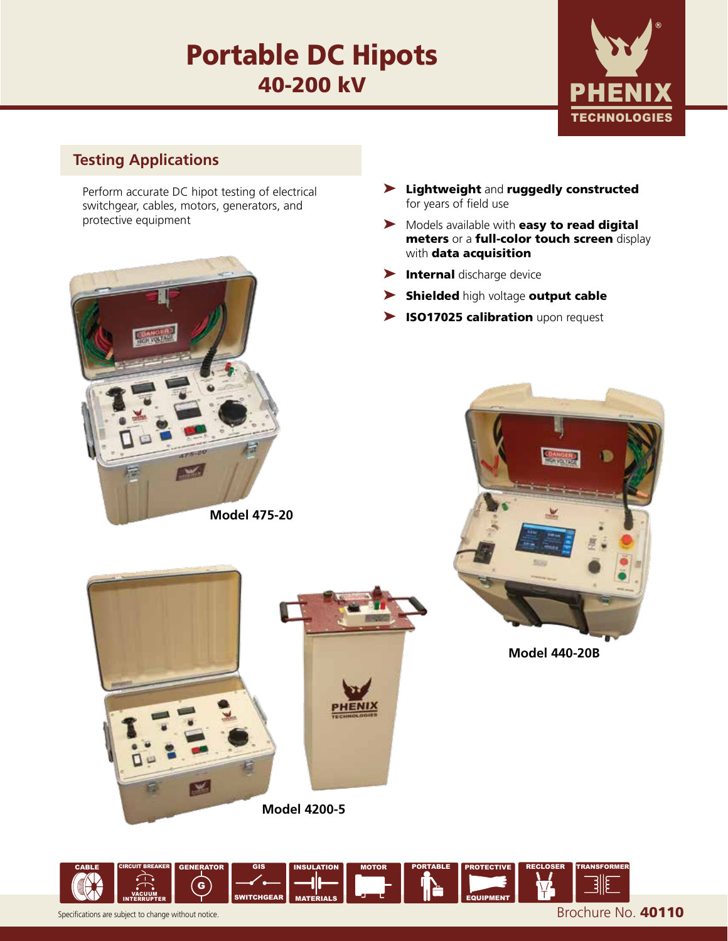# Portable DC Hipots 40-200 kV



# **Testing Applications**

Perform accurate DC hipot testing of electrical switchgear, cables, motors, generators, and protective equipment



**Model 475-20**

- ➤ Lightweight and ruggedly constructed for years of field use
- ▶ Models available with easy to read digital meters or a full-color touch screen display with **data acquisition**
- ➤ Internal discharge device
- ➤ Shielded high voltage output cable
- ▶ ISO17025 calibration upon request



**Model 440-20B**



**Model 4200-5**

Т¥.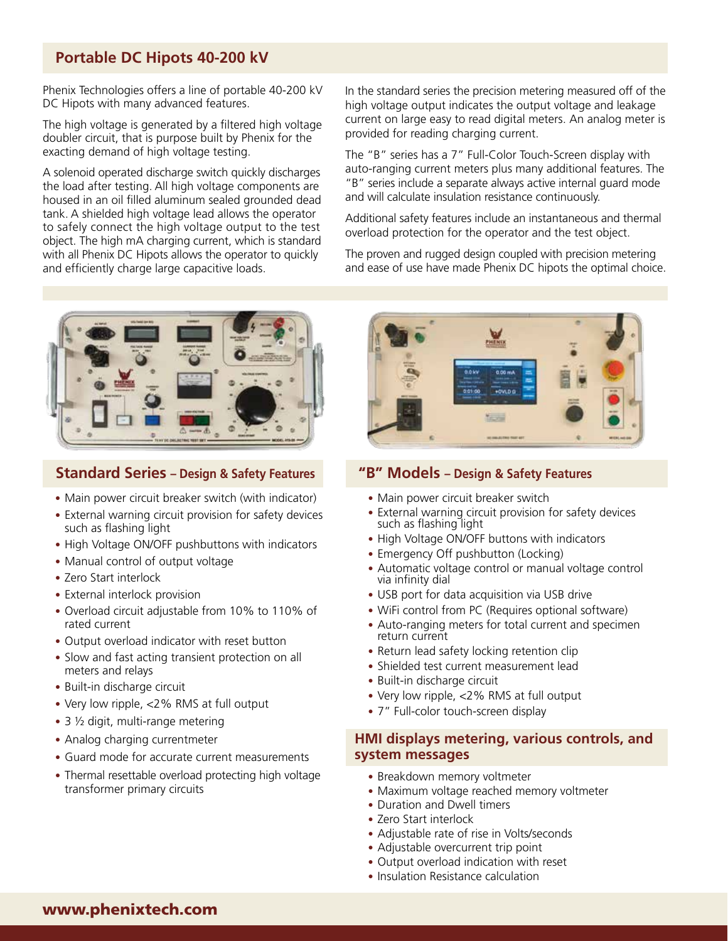# **Portable DC Hipots 40-200 kV**

Phenix Technologies offers a line of portable 40-200 kV DC Hipots with many advanced features.

The high voltage is generated by a filtered high voltage doubler circuit, that is purpose built by Phenix for the exacting demand of high voltage testing.

A solenoid operated discharge switch quickly discharges the load after testing. All high voltage components are housed in an oil filled aluminum sealed grounded dead tank. A shielded high voltage lead allows the operator to safely connect the high voltage output to the test object. The high mA charging current, which is standard with all Phenix DC Hipots allows the operator to quickly and efficiently charge large capacitive loads.



# **Standard Series – Design & Safety Features "B" Models – Design & Safety Features**

- Main power circuit breaker switch (with indicator)
- External warning circuit provision for safety devices such as flashing light
- High Voltage ON/OFF pushbuttons with indicators
- Manual control of output voltage
- Zero Start interlock
- External interlock provision
- Overload circuit adjustable from 10% to 110% of rated current
- Output overload indicator with reset button
- Slow and fast acting transient protection on all meters and relays
- Built-in discharge circuit
- Very low ripple, <2% RMS at full output
- 3 ½ digit, multi-range metering
- Analog charging currentmeter
- Guard mode for accurate current measurements
- Thermal resettable overload protecting high voltage transformer primary circuits

In the standard series the precision metering measured off of the high voltage output indicates the output voltage and leakage current on large easy to read digital meters. An analog meter is provided for reading charging current.

The "B" series has a 7" Full-Color Touch-Screen display with auto-ranging current meters plus many additional features. The "B" series include a separate always active internal guard mode and will calculate insulation resistance continuously.

Additional safety features include an instantaneous and thermal overload protection for the operator and the test object.

The proven and rugged design coupled with precision metering and ease of use have made Phenix DC hipots the optimal choice.



- Main power circuit breaker switch
- External warning circuit provision for safety devices such as flashing light
- High Voltage ON/OFF buttons with indicators
- Emergency Off pushbutton (Locking)
- Automatic voltage control or manual voltage control via infinity dial
- USB port for data acquisition via USB drive
- WiFi control from PC (Requires optional software)
- Auto-ranging meters for total current and specimen return current
- Return lead safety locking retention clip
- Shielded test current measurement lead
- Built-in discharge circuit
- Very low ripple, <2% RMS at full output
- 7" Full-color touch-screen display

### **HMI displays metering, various controls, and system messages**

- Breakdown memory voltmeter
- Maximum voltage reached memory voltmeter
- Duration and Dwell timers
- Zero Start interlock
- Adjustable rate of rise in Volts/seconds
- Adjustable overcurrent trip point
- Output overload indication with reset
- Insulation Resistance calculation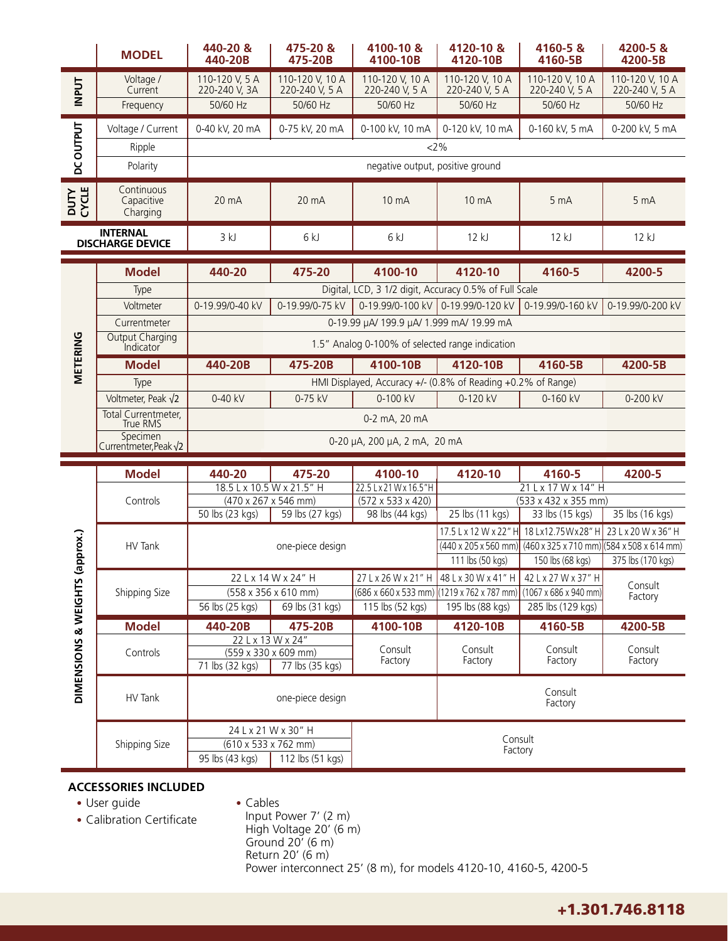|                                            | <b>MODEL</b>                         | 440-20 &<br>440-20B                                                                                                                                      | 475-20 &<br>475-20B               | 4100-10 &<br>4100-10B             | 4120-10 &<br>4120-10B                                                                | 4160-5&<br>4160-5B                | 4200-5&<br>4200-5B                |
|--------------------------------------------|--------------------------------------|----------------------------------------------------------------------------------------------------------------------------------------------------------|-----------------------------------|-----------------------------------|--------------------------------------------------------------------------------------|-----------------------------------|-----------------------------------|
| <b>INPUT</b>                               | Voltage /<br>Current                 | 110-120 V, 5 A<br>220-240 V, 3A                                                                                                                          | 110-120 V, 10 A<br>220-240 V, 5 A | 110-120 V, 10 A<br>220-240 V, 5 A | 110-120 V, 10 A<br>220-240 V, 5 A                                                    | 110-120 V, 10 A<br>220-240 V, 5 A | 110-120 V, 10 A<br>220-240 V, 5 A |
|                                            | Frequency                            | 50/60 Hz                                                                                                                                                 | 50/60 Hz                          | 50/60 Hz                          | 50/60 Hz                                                                             | 50/60 Hz                          | 50/60 Hz                          |
| <b>DCOUTPUT</b>                            | Voltage / Current                    | 0-40 kV, 20 mA                                                                                                                                           | 0-75 kV, 20 mA                    | 0-100 kV, 10 mA                   | 0-120 kV, 10 mA                                                                      | 0-160 kV, 5 mA                    | 0-200 kV, 5 mA                    |
|                                            | Ripple                               | 2%                                                                                                                                                       |                                   |                                   |                                                                                      |                                   |                                   |
|                                            | Polarity                             | negative output, positive ground                                                                                                                         |                                   |                                   |                                                                                      |                                   |                                   |
| <b>CYCLE</b><br><b>NLN</b>                 | Continuous<br>Capacitive<br>Charging | 20 mA                                                                                                                                                    | 20 mA                             | 10 mA                             | 10 mA                                                                                | 5 <sub>mA</sub>                   | 5 <sub>mA</sub>                   |
| <b>INTERNAL</b><br><b>DISCHARGE DEVICE</b> |                                      | 3 kJ                                                                                                                                                     | 6kJ                               | 6 kJ                              | 12k                                                                                  | 12 kJ                             | 12 kJ                             |
| METERING                                   | <b>Model</b>                         | 440-20                                                                                                                                                   | 475-20                            | 4100-10                           | 4120-10                                                                              | 4160-5                            | 4200-5                            |
|                                            | Type                                 | Digital, LCD, 3 1/2 digit, Accuracy 0.5% of Full Scale                                                                                                   |                                   |                                   |                                                                                      |                                   |                                   |
|                                            | Voltmeter                            | 0-19.99/0-40 kV                                                                                                                                          | 0-19.99/0-75 kV                   |                                   | 0-19.99/0-100 kV 0-19.99/0-120 kV                                                    | 0-19.99/0-160 kV                  | 0-19.99/0-200 kV                  |
|                                            | Currentmeter                         | 0-19.99 µA/ 199.9 µA/ 1.999 mA/ 19.99 mA                                                                                                                 |                                   |                                   |                                                                                      |                                   |                                   |
|                                            | Output Charging<br>Indicator         | 1.5" Analog 0-100% of selected range indication                                                                                                          |                                   |                                   |                                                                                      |                                   |                                   |
|                                            | <b>Model</b>                         | 440-20B                                                                                                                                                  | 475-20B                           | 4100-10B                          | 4120-10B                                                                             | 4160-5B                           | 4200-5B                           |
|                                            | Type                                 | HMI Displayed, Accuracy +/- (0.8% of Reading +0.2% of Range)                                                                                             |                                   |                                   |                                                                                      |                                   |                                   |
|                                            | Voltmeter, Peak $\sqrt{2}$           | 0-40 kV                                                                                                                                                  | 0-75 kV                           | 0-100 kV                          | 0-120 kV                                                                             | 0-160 kV                          | 0-200 kV                          |
|                                            | Total Currentmeter,<br>True RMS      | 0-2 mA, 20 mA                                                                                                                                            |                                   |                                   |                                                                                      |                                   |                                   |
|                                            | Specimen<br>Currentmeter, Peak√2     | 0-20 µA, 200 µA, 2 mA, 20 mA                                                                                                                             |                                   |                                   |                                                                                      |                                   |                                   |
|                                            | <b>Model</b>                         | 440-20                                                                                                                                                   | 475-20                            | 4100-10                           | 4120-10                                                                              | 4160-5                            | 4200-5                            |
| approx.)<br>DIMENSIONS & WEIGHTS           | Controls                             | 18.5 L x 10.5 W x 21.5" H<br>22.5 Lx 21 W x 16.5"H                                                                                                       |                                   |                                   | 21 L x 17 W x 14" H                                                                  |                                   |                                   |
|                                            |                                      | (470 x 267 x 546 mm)                                                                                                                                     |                                   | (572 x 533 x 420)                 |                                                                                      | (533 x 432 x 355 mm)              |                                   |
|                                            |                                      | 50 lbs (23 kgs)                                                                                                                                          | $\overline{59}$ lbs (27 kgs)      | 98 lbs (44 kgs)                   | 25 lbs (11 kgs)                                                                      | 33 lbs (15 kgs)                   | 35 lbs (16 kgs)                   |
|                                            | HV Tank                              | 18 Lx12.75 Wx28" H<br>17.5 L x 12 W x 22" H<br>23 L x 20 W x 36" H<br>$(440 \times 205 \times 560 \text{ mm})$ (460 x 325 x 710 mm) (584 x 508 x 614 mm) |                                   |                                   |                                                                                      |                                   |                                   |
|                                            |                                      | one-piece design                                                                                                                                         |                                   |                                   | 111 lbs (50 kgs)                                                                     | 150 lbs (68 kgs)                  | 375 lbs (170 kgs)                 |
|                                            |                                      | 22 L x 14 W x 24" H<br>27 L x 26 W x 21" H 48 L x 30 W x 41" H<br>42 L x 27 W x 37" H                                                                    |                                   |                                   |                                                                                      |                                   |                                   |
|                                            | Shipping Size                        | (558 x 356 x 610 mm)                                                                                                                                     |                                   |                                   | $(686 \times 660 \times 533 \text{ mm})$ (1219 x 762 x 787 mm) (1067 x 686 x 940 mm) |                                   | Consult                           |
|                                            |                                      | 56 lbs (25 kgs)                                                                                                                                          | 69 lbs (31 kgs)                   | 115 lbs (52 kgs)                  | 195 lbs (88 kgs)                                                                     | 285 lbs (129 kgs)                 | Factory                           |
|                                            | <b>Model</b>                         | 440-20B                                                                                                                                                  | 475-20B                           | 4100-10B                          | 4120-10B                                                                             | 4160-5B                           | 4200-5B                           |
|                                            | Controls                             | 22 L x 13 W x 24"                                                                                                                                        | (559 x 330 x 609 mm)              | Consult                           | Consult                                                                              | Consult                           | Consult                           |
|                                            |                                      | 71 lbs (32 kgs)                                                                                                                                          | Factory<br>77 lbs (35 kgs)        |                                   | Factory<br>Factory                                                                   |                                   | Factory                           |
|                                            | HV Tank                              |                                                                                                                                                          | one-piece design                  | Consult<br>Factory                |                                                                                      |                                   |                                   |
|                                            | Shipping Size                        | 24 L x 21 W x 30" H                                                                                                                                      |                                   | Consult                           |                                                                                      |                                   |                                   |
|                                            |                                      | $(610 \times 533 \times 762$ mm)                                                                                                                         |                                   | Factory                           |                                                                                      |                                   |                                   |

## **ACCESSORIES INCLUDED**

- User guide
- Calibration Certificate
- Cables
- 
- Input Power 7' (2 m) High Voltage 20' (6 m) Ground 20' (6 m) Return 20' (6 m) Power interconnect 25' (8 m), for models 4120-10, 4160-5, 4200-5